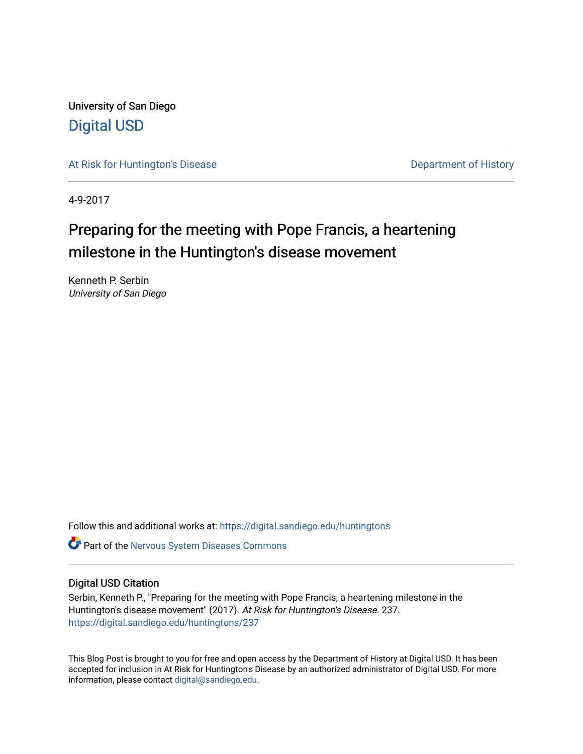University of San Diego [Digital USD](https://digital.sandiego.edu/)

[At Risk for Huntington's Disease](https://digital.sandiego.edu/huntingtons) **Department of History** Department of History

4-9-2017

## Preparing for the meeting with Pope Francis, a heartening milestone in the Huntington's disease movement

Kenneth P. Serbin University of San Diego

Follow this and additional works at: [https://digital.sandiego.edu/huntingtons](https://digital.sandiego.edu/huntingtons?utm_source=digital.sandiego.edu%2Fhuntingtons%2F237&utm_medium=PDF&utm_campaign=PDFCoverPages)

**C** Part of the [Nervous System Diseases Commons](http://network.bepress.com/hgg/discipline/928?utm_source=digital.sandiego.edu%2Fhuntingtons%2F237&utm_medium=PDF&utm_campaign=PDFCoverPages)

## Digital USD Citation

Serbin, Kenneth P., "Preparing for the meeting with Pope Francis, a heartening milestone in the Huntington's disease movement" (2017). At Risk for Huntington's Disease. 237. [https://digital.sandiego.edu/huntingtons/237](https://digital.sandiego.edu/huntingtons/237?utm_source=digital.sandiego.edu%2Fhuntingtons%2F237&utm_medium=PDF&utm_campaign=PDFCoverPages)

This Blog Post is brought to you for free and open access by the Department of History at Digital USD. It has been accepted for inclusion in At Risk for Huntington's Disease by an authorized administrator of Digital USD. For more information, please contact [digital@sandiego.edu.](mailto:digital@sandiego.edu)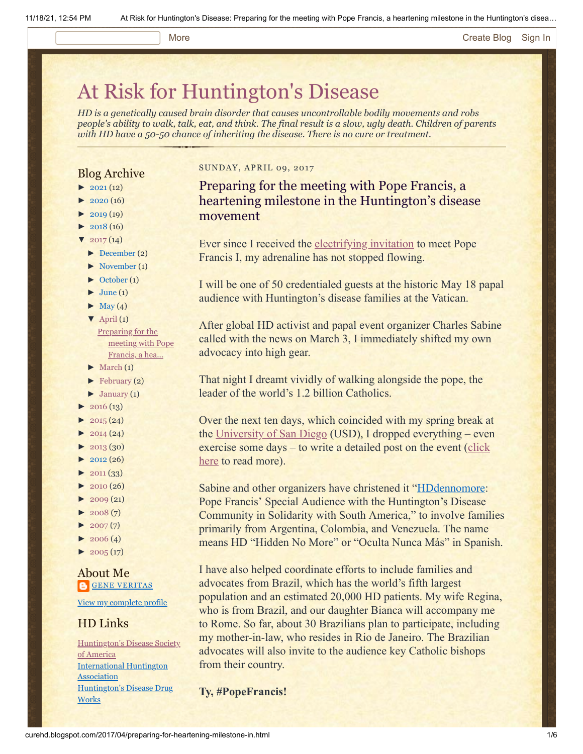## More **[Create Blog](https://www.blogger.com/home#create) [Sign In](https://www.blogger.com/)**

# [At Risk for Huntington's Disease](http://curehd.blogspot.com/)

*HD is a genetically caused brain disorder that causes uncontrollable bodily movements and robs people's ability to walk, talk, eat, and think. The final result is a slow, ugly death. Children of parents with HD have a 50-50 chance of inheriting the disease. There is no cure or treatment.*

## Blog Archive

- $\blacktriangleright$  [2021](http://curehd.blogspot.com/2021/) (12)
- $\blacktriangleright$  [2020](http://curehd.blogspot.com/2020/) (16)
- $2019(19)$  $2019(19)$
- $\blacktriangleright$  [2018](http://curehd.blogspot.com/2018/) (16)
- $2017(14)$  $2017(14)$
- [►](javascript:void(0)) [December](http://curehd.blogspot.com/2017/12/) (2)
- [►](javascript:void(0)) [November](http://curehd.blogspot.com/2017/11/) (1)
- $\blacktriangleright$  [October](http://curehd.blogspot.com/2017/10/) (1)  $\blacktriangleright$  [June](http://curehd.blogspot.com/2017/06/) (1)
- $\blacktriangleright$  [May](http://curehd.blogspot.com/2017/05/) (4)
- $\nabla$  [April](http://curehd.blogspot.com/2017/04/) (1)
- [Preparing](http://curehd.blogspot.com/2017/04/preparing-for-heartening-milestone-in.html) for the meeting with Pope Francis, a hea...
- $\blacktriangleright$  [March](http://curehd.blogspot.com/2017/03/)  $(1)$
- $\blacktriangleright$  [February](http://curehd.blogspot.com/2017/02/) (2)
- $\blacktriangleright$  [January](http://curehd.blogspot.com/2017/01/) (1)
- $\blacktriangleright$  [2016](http://curehd.blogspot.com/2016/) (13)
- $\blacktriangleright$  [2015](http://curehd.blogspot.com/2015/) (24)
- $\blacktriangleright$  [2014](http://curehd.blogspot.com/2014/) (24)
- $\blacktriangleright$  [2013](http://curehd.blogspot.com/2013/) (30)
- $\blacktriangleright$  [2012](http://curehd.blogspot.com/2012/) (26)
- $\blacktriangleright$  [2011](http://curehd.blogspot.com/2011/) (33)
- $\blacktriangleright$  [2010](http://curehd.blogspot.com/2010/) (26)
- $\blacktriangleright$  [2009](http://curehd.blogspot.com/2009/) (21)
- $\blacktriangleright$  [2008](http://curehd.blogspot.com/2008/) $(7)$
- $\blacktriangleright$  [2007](http://curehd.blogspot.com/2007/) $(7)$
- $\blacktriangleright$  [2006](http://curehd.blogspot.com/2006/) (4)
- $\blacktriangleright$  [2005](http://curehd.blogspot.com/2005/) (17)

About Me **GENE [VERITAS](https://www.blogger.com/profile/10911736205741688185)** 

View my [complete](https://www.blogger.com/profile/10911736205741688185) profile

## HD Links

[Huntington's](http://www.hdsa.org/) Disease Society of America [International](http://www.huntington-assoc.com/) Huntington Association [Huntington's](http://hddrugworks.org/) Disease Drug **Works** 

### SUNDAY, APRIL 09, 2017

Preparing for the meeting with Pope Francis, a heartening milestone in the Huntington's disease movement

Ever since I received the [electrifying invitation](http://curehd.blogspot.com/2017/03/pope-francis-i-to-meet-with-victims-of.html) to meet Pope Francis I, my adrenaline has not stopped flowing.

I will be one of 50 credentialed guests at the historic May 18 papal audience with Huntington's disease families at the Vatican.

After global HD activist and papal event organizer Charles Sabine called with the news on March 3, I immediately shifted my own advocacy into high gear.

That night I dreamt vividly of walking alongside the pope, the leader of the world's 1.2 billion Catholics.

Over the next ten days, which coincided with my spring break at the [University of San Diego](http://www.sandiego.edu/) (USD), I dropped everything – even [exercise some days – to write a detailed post](http://curehd.blogspot.com/2017/03/pope-francis-i-to-meet-with-victims-of.html) on the event (click here to read more).

Sabine and other organizers have christened it ["HDdennomore:](http://hddennomore.com/) Pope Francis' Special Audience with the Huntington's Disease Community in Solidarity with South America," to involve families primarily from Argentina, Colombia, and Venezuela. The name means HD "Hidden No More" or "Oculta Nunca Más" in Spanish.

I have also helped coordinate efforts to include families and advocates from Brazil, which has the world's fifth largest population and an estimated 20,000 HD patients. My wife Regina, who is from Brazil, and our daughter Bianca will accompany me to Rome. So far, about 30 Brazilians plan to participate, including my mother-in-law, who resides in Rio de Janeiro. The Brazilian advocates will also invite to the audience key Catholic bishops from their country.

**Ty, #PopeFrancis!**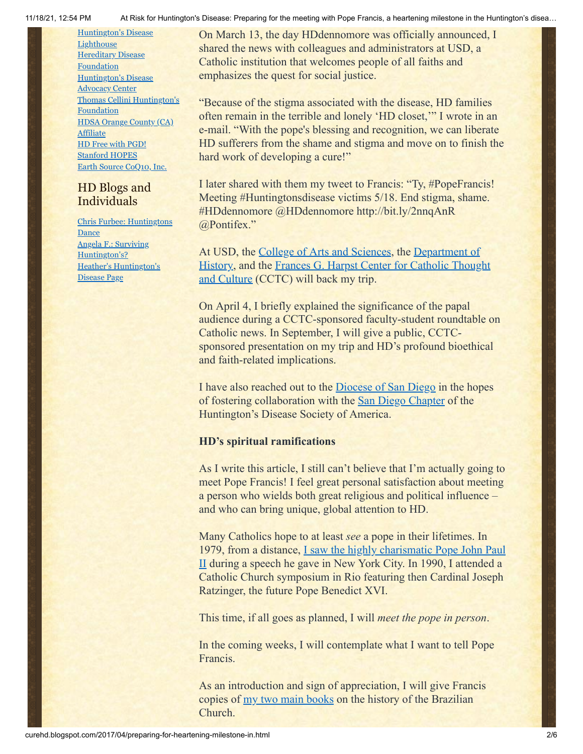[Huntington's](http://www.hdlighthouse.org/) Disease **Lighthouse Hereditary Disease** [Foundation](http://www.hdfoundation.org/) [Huntington's](http://www.hdac.org/) Disease Advocacy Center Thomas [Cellini Huntington's](http://www.ourtchfoundation.org/) Foundation HDSA [Orange](http://www.hdsaoc.org/) County (CA) **Affiliate** HD Free with [PGD!](http://www.hdfreewithpgd.com/) [Stanford](http://www.stanford.edu/group/hopes/) HOPES Earth Source [CoQ10,](http://www.escoq10.com/) Inc.

## HD Blogs and **Individuals**

Chris Furbee: [Huntingtons](http://www.huntingtonsdance.org/) Dance Angela F.: Surviving [Huntington's?](http://survivinghuntingtons.blogspot.com/) Heather's [Huntington's](http://heatherdugdale.angelfire.com/) Disease Page

11/18/21, 12:54 PM At Risk for Huntington's Disease: Preparing for the meeting with Pope Francis, a heartening milestone in the Huntington's disea…

On March 13, the day HDdennomore was officially announced, I shared the news with colleagues and administrators at USD, a Catholic institution that welcomes people of all faiths and emphasizes the quest for social justice.

"Because of the stigma associated with the disease, HD families often remain in the terrible and lonely 'HD closet,'" I wrote in an e-mail. "With the pope's blessing and recognition, we can liberate HD sufferers from the shame and stigma and move on to finish the hard work of developing a cure!"

I later shared with them my tweet to Francis: "Ty, #PopeFrancis! Meeting #Huntingtonsdisease victims 5/18. End stigma, shame. #HDdennomore @HDdennomore http://bit.ly/2nnqAnR @Pontifex."

At USD, the [College of Arts and Sciences,](http://www.sandiego.edu/cas/) the Department of [History, and the Frances G. Harpst Center for Catholic Thou](http://www.sandiego.edu/cas/history/)[ght](https://www.sandiego.edu/cctc/) and Culture (CCTC) will back my trip.

On April 4, I briefly explained the significance of the papal audience during a CCTC-sponsored faculty-student roundtable on Catholic news. In September, I will give a public, CCTCsponsored presentation on my trip and HD's profound bioethical and faith-related implications.

I have also reached out to the [Diocese of San Diego](http://www.sdcatholic.org/) in the hopes of fostering collaboration with the [San Diego Chapter](http://san-diego.hdsa.org/) of the Huntington's Disease Society of America.

## **HD's spiritual ramifications**

As I write this article, I still can't believe that I'm actually going to meet Pope Francis! I feel great personal satisfaction about meeting a person who wields both great religious and political influence – and who can bring unique, global attention to HD.

Many Catholics hope to at least *see* a pope in their lifetimes. In [1979, from a distance, I saw the highly charismatic Pope John Paul](http://digital.library.yale.edu/utils/getarticleclippings/collection/yale-ydn/id/13343/articleId/DIVL118/compObjId/13354/lang/en_US/dmtext/ken%20serbin%20pope%20john%20paul) II during a speech he gave in New York City. In 1990, I attended a Catholic Church symposium in Rio featuring then Cardinal Joseph Ratzinger, the future Pope Benedict XVI.

This time, if all goes as planned, I will *meet the pope in person*.

In the coming weeks, I will contemplate what I want to tell Pope Francis.

As an introduction and sign of appreciation, I will give Francis copies of [my two main books](http://www.sandiego.edu/cas/history/faculty-and-staff/biography.php?profile_id=87) on the history of the Brazilian Church.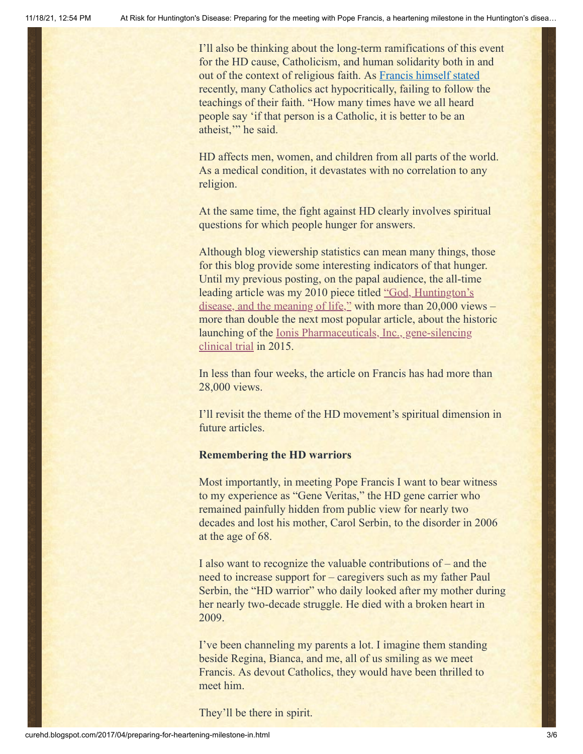I'll also be thinking about the long-term ramifications of this event for the HD cause, Catholicism, and human solidarity both in and out of the context of religious faith. As [Francis himself stated](http://en.radiovaticana.va/news/2017/02/23/pope_dont_put_off_conversion,_give_up_a_double_life/1294470) recently, many Catholics act hypocritically, failing to follow the teachings of their faith. "How many times have we all heard people say 'if that person is a Catholic, it is better to be an atheist," he said.

HD affects men, women, and children from all parts of the world. As a medical condition, it devastates with no correlation to any religion.

At the same time, the fight against HD clearly involves spiritual questions for which people hunger for answers.

Although blog viewership statistics can mean many things, those for this blog provide some interesting indicators of that hunger. Until my previous posting, on the papal audience, the all-time leading article was my 2010 piece titled "God, Huntington's [disease, and the meaning of life," with more than 20,000 vie](http://curehd.blogspot.com/2010/06/god-huntingtons-disease-and-meaning-of.html)ws – more than double the next most popular article, about the historic launching of the <u>Ionis Pharmaceuticals, Inc., gene-silencing</u> clinical trial in 2015.

In less than four weeks, the article on Francis has had more than 28,000 views.

I'll revisit the theme of the HD movement's spiritual dimension in future articles.

## **Remembering the HD warriors**

Most importantly, in meeting Pope Francis I want to bear witness to my experience as "Gene Veritas," the HD gene carrier who remained painfully hidden from public view for nearly two decades and lost his mother, Carol Serbin, to the disorder in 2006 at the age of 68.

I also want to recognize the valuable contributions of – and the need to increase support for – caregivers such as my father Paul Serbin, the "HD warrior" who daily looked after my mother during her nearly two-decade struggle. He died with a broken heart in 2009.

I've been channeling my parents a lot. I imagine them standing beside Regina, Bianca, and me, all of us smiling as we meet Francis. As devout Catholics, they would have been thrilled to meet him.

They'll be there in spirit.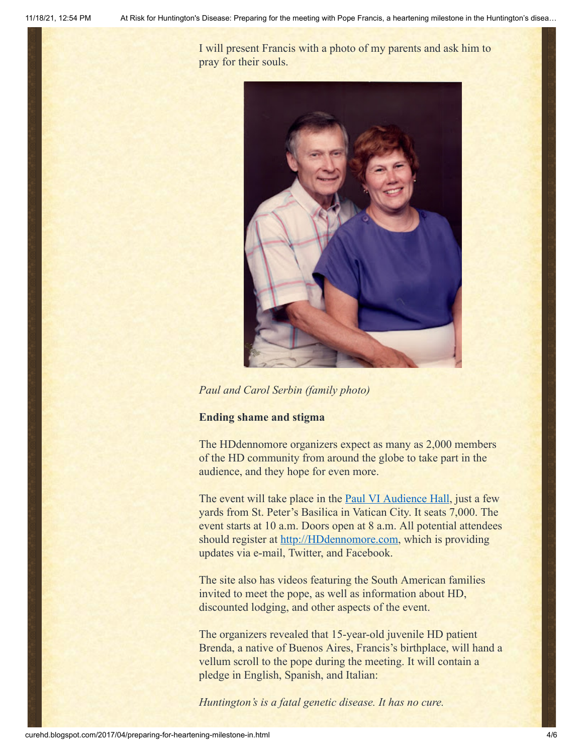I will present Francis with a photo of my parents and ask him to pray for their souls.



*Paul and Carol Serbin (family photo)*

## **Ending shame and stigma**

The HDdennomore organizers expect as many as 2,000 members of the HD community from around the globe to take part in the audience, and they hope for even more.

The event will take place in the **[Paul VI Audience Hall](https://en.wikipedia.org/wiki/Paul_VI_Audience_Hall)**, just a few yards from St. Peter's Basilica in Vatican City. It seats 7,000. The event starts at 10 a.m. Doors open at 8 a.m. All potential attendees should register at [http://HDdennomore.com](http://hddennomore.com/), which is providing updates via e-mail, Twitter, and Facebook.

The site also has videos featuring the South American families invited to meet the pope, as well as information about HD, discounted lodging, and other aspects of the event.

The organizers revealed that 15-year-old juvenile HD patient Brenda, a native of Buenos Aires, Francis's birthplace, will hand a vellum scroll to the pope during the meeting. It will contain a pledge in English, Spanish, and Italian:

*Huntington's is a fatal genetic disease. It has no cure.*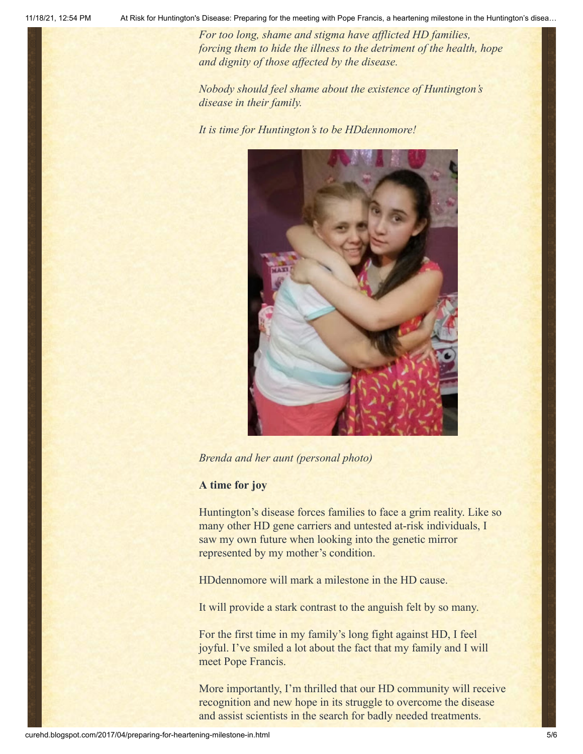11/18/21, 12:54 PM At Risk for Huntington's Disease: Preparing for the meeting with Pope Francis, a heartening milestone in the Huntington's disea…

*For too long, shame and stigma have afflicted HD families, forcing them to hide the illness to the detriment of the health, hope and dignity of those affected by the disease.*

*Nobody should feel shame about the existence of Huntington's disease in their family.*

*It is time for Huntington's to be HDdennomore!*



*Brenda and her aunt (personal photo)*

## **A time for joy**

Huntington's disease forces families to face a grim reality. Like so many other HD gene carriers and untested at-risk individuals, I saw my own future when looking into the genetic mirror represented by my mother's condition.

HDdennomore will mark a milestone in the HD cause.

It will provide a stark contrast to the anguish felt by so many.

For the first time in my family's long fight against HD, I feel joyful. I've smiled a lot about the fact that my family and I will meet Pope Francis.

More importantly, I'm thrilled that our HD community will receive recognition and new hope in its struggle to overcome the disease and assist scientists in the search for badly needed treatments.